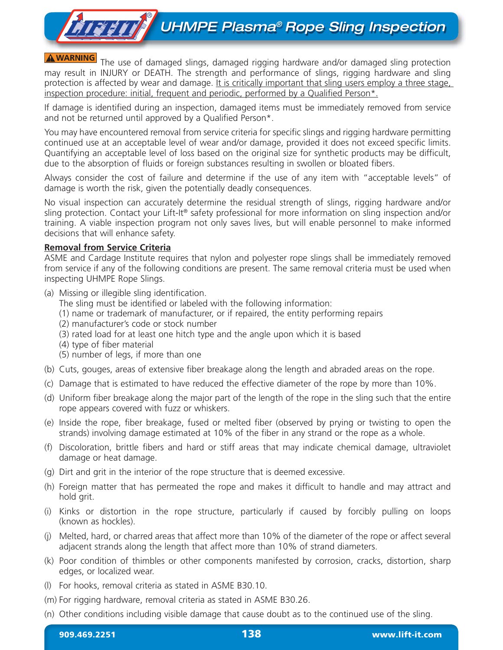# **THEFT UHMPE Plasma<sup>®</sup> Rope Sling Inspection**

**A WARNING** The use of damaged slings, damaged rigging hardware and/or damaged sling protection may result in INJURY or DEATH. The strength and performance of slings, rigging hardware and sling protection is affected by wear and damage. It is critically important that sling users employ a three stage, inspection procedure: initial, frequent and periodic, performed by a Qualified Person\*.

If damage is identified during an inspection, damaged items must be immediately removed from service and not be returned until approved by a Qualified Person\*.

You may have encountered removal from service criteria for specific slings and rigging hardware permitting continued use at an acceptable level of wear and/or damage, provided it does not exceed specific limits. Quantifying an acceptable level of loss based on the original size for synthetic products may be difficult, due to the absorption of fluids or foreign substances resulting in swollen or bloated fibers.

Always consider the cost of failure and determine if the use of any item with "acceptable levels" of damage is worth the risk, given the potentially deadly consequences.

No visual inspection can accurately determine the residual strength of slings, rigging hardware and/or sling protection. Contact your Lift-It® safety professional for more information on sling inspection and/or training. A viable inspection program not only saves lives, but will enable personnel to make informed decisions that will enhance safety.

### **Removal from Service Criteria**

ASME and Cardage Institute requires that nylon and polyester rope slings shall be immediately removed from service if any of the following conditions are present. The same removal criteria must be used when inspecting UHMPE Rope Slings.

(a) Missing or illegible sling identification.

The sling must be identified or labeled with the following information:

- (1) name or trademark of manufacturer, or if repaired, the entity performing repairs
- (2) manufacturer's code or stock number
- (3) rated load for at least one hitch type and the angle upon which it is based
- (4) type of fiber material
- (5) number of legs, if more than one
- (b) Cuts, gouges, areas of extensive fiber breakage along the length and abraded areas on the rope.
- (c) Damage that is estimated to have reduced the effective diameter of the rope by more than 10%.
- (d) Uniform fiber breakage along the major part of the length of the rope in the sling such that the entire rope appears covered with fuzz or whiskers.
- (e) Inside the rope, fiber breakage, fused or melted fiber (observed by prying or twisting to open the strands) involving damage estimated at 10% of the fiber in any strand or the rope as a whole.
- (f) Discoloration, brittle fibers and hard or stiff areas that may indicate chemical damage, ultraviolet damage or heat damage.
- (g) Dirt and grit in the interior of the rope structure that is deemed excessive.
- (h) Foreign matter that has permeated the rope and makes it difficult to handle and may attract and hold grit.
- (i) Kinks or distortion in the rope structure, particularly if caused by forcibly pulling on loops (known as hockles).
- (j) Melted, hard, or charred areas that affect more than 10% of the diameter of the rope or affect several adjacent strands along the length that affect more than 10% of strand diameters.
- (k) Poor condition of thimbles or other components manifested by corrosion, cracks, distortion, sharp edges, or localized wear.
- (l) For hooks, removal criteria as stated in ASME B30.10.
- (m) For rigging hardware, removal criteria as stated in ASME B30.26.
- (n) Other conditions including visible damage that cause doubt as to the continued use of the sling.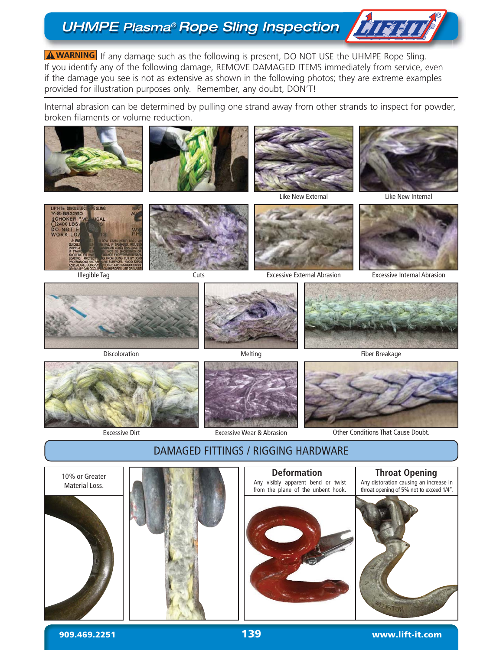## UHMPE Plasma® Rope Sling Inspection | File

**A WARNING** If any damage such as the following is present, DO NOT USE the UHMPE Rope Sling. If you identify any of the following damage, REMOVE DAMAGED ITEMS immediately from service, even if the damage you see is not as extensive as shown in the following photos; they are extreme examples provided for illustration purposes only. Remember, any doubt, DON'T!

Internal abrasion can be determined by pulling one strand away from other strands to inspect for powder, broken filaments or volume reduction.













Excessive External Abrasion



Excessive Internal Abrasion





Excessive Dirt **Excessive Wear & Abrasion** 





Other Conditions That Cause Doubt.



#### **909.469.2251 www.lift-it.com 1394**